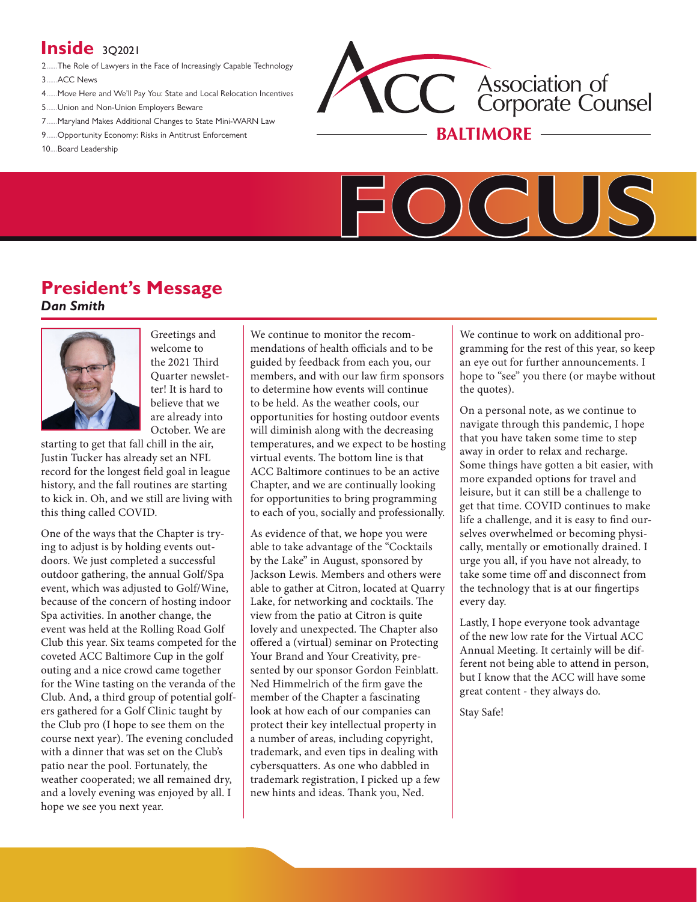## **Inside** 302021

- 2......The Role of Lawyers in the Face of Increasingly Capable Technology
- 3......ACC News
- 4......Move Here and We'll Pay You: State and Local Relocation Incentives
- 5......Union and Non-Union Employers Beware
- 7......Maryland Makes Additional Changes to State Mini-WARN Law
- 9......Opportunity Economy: Risks in Antitrust Enforcement
- 10....Board Leadership





# **President's Message**

*Dan Smith*



Greetings and welcome to the 2021 Third Quarter newsletter! It is hard to believe that we are already into October. We are

starting to get that fall chill in the air, Justin Tucker has already set an NFL record for the longest field goal in league history, and the fall routines are starting to kick in. Oh, and we still are living with this thing called COVID.

One of the ways that the Chapter is trying to adjust is by holding events outdoors. We just completed a successful outdoor gathering, the annual Golf/Spa event, which was adjusted to Golf/Wine, because of the concern of hosting indoor Spa activities. In another change, the event was held at the Rolling Road Golf Club this year. Six teams competed for the coveted ACC Baltimore Cup in the golf outing and a nice crowd came together for the Wine tasting on the veranda of the Club. And, a third group of potential golfers gathered for a Golf Clinic taught by the Club pro (I hope to see them on the course next year). The evening concluded with a dinner that was set on the Club's patio near the pool. Fortunately, the weather cooperated; we all remained dry, and a lovely evening was enjoyed by all. I hope we see you next year.

We continue to monitor the recommendations of health officials and to be guided by feedback from each you, our members, and with our law firm sponsors to determine how events will continue to be held. As the weather cools, our opportunities for hosting outdoor events will diminish along with the decreasing temperatures, and we expect to be hosting virtual events. The bottom line is that ACC Baltimore continues to be an active Chapter, and we are continually looking for opportunities to bring programming to each of you, socially and professionally.

As evidence of that, we hope you were able to take advantage of the "Cocktails by the Lake" in August, sponsored by Jackson Lewis. Members and others were able to gather at Citron, located at Quarry Lake, for networking and cocktails. The view from the patio at Citron is quite lovely and unexpected. The Chapter also offered a (virtual) seminar on Protecting Your Brand and Your Creativity, presented by our sponsor Gordon Feinblatt. Ned Himmelrich of the firm gave the member of the Chapter a fascinating look at how each of our companies can protect their key intellectual property in a number of areas, including copyright, trademark, and even tips in dealing with cybersquatters. As one who dabbled in trademark registration, I picked up a few new hints and ideas. Thank you, Ned.

We continue to work on additional programming for the rest of this year, so keep an eye out for further announcements. I hope to "see" you there (or maybe without the quotes).

On a personal note, as we continue to navigate through this pandemic, I hope that you have taken some time to step away in order to relax and recharge. Some things have gotten a bit easier, with more expanded options for travel and leisure, but it can still be a challenge to get that time. COVID continues to make life a challenge, and it is easy to find ourselves overwhelmed or becoming physically, mentally or emotionally drained. I urge you all, if you have not already, to take some time off and disconnect from the technology that is at our fingertips every day.

Lastly, I hope everyone took advantage of the new low rate for the Virtual ACC Annual Meeting. It certainly will be different not being able to attend in person, but I know that the ACC will have some great content - they always do.

Stay Safe!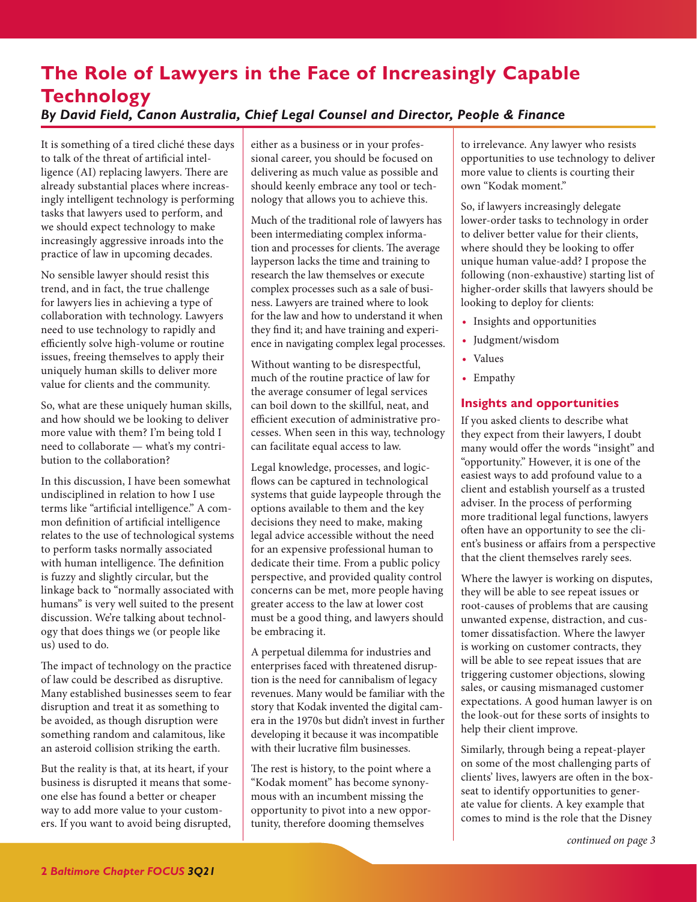## **The Role of Lawyers in the Face of Increasingly Capable Technology** *By David Field, Canon Australia, Chief Legal Counsel and Director, People & Finance*

It is something of a tired cliché these days to talk of the threat of artificial intelligence (AI) replacing lawyers. There are already substantial places where increasingly intelligent technology is performing tasks that lawyers used to perform, and we should expect technology to make increasingly aggressive inroads into the practice of law in upcoming decades.

No sensible lawyer should resist this trend, and in fact, the true challenge for lawyers lies in achieving a type of collaboration with technology. Lawyers need to use technology to rapidly and efficiently solve high-volume or routine issues, freeing themselves to apply their uniquely human skills to deliver more value for clients and the community.

So, what are these uniquely human skills, and how should we be looking to deliver more value with them? I'm being told I need to collaborate — what's my contribution to the collaboration?

In this discussion, I have been somewhat undisciplined in relation to how I use terms like "artificial intelligence." A common definition of artificial intelligence relates to the use of technological systems to perform tasks normally associated with human intelligence. The definition is fuzzy and slightly circular, but the linkage back to "normally associated with humans" is very well suited to the present discussion. We're talking about technology that does things we (or people like us) used to do.

The impact of technology on the practice of law could be described as disruptive. Many established businesses seem to fear disruption and treat it as something to be avoided, as though disruption were something random and calamitous, like an asteroid collision striking the earth.

But the reality is that, at its heart, if your business is disrupted it means that someone else has found a better or cheaper way to add more value to your customers. If you want to avoid being disrupted, either as a business or in your professional career, you should be focused on delivering as much value as possible and should keenly embrace any tool or technology that allows you to achieve this.

Much of the traditional role of lawyers has been intermediating complex information and processes for clients. The average layperson lacks the time and training to research the law themselves or execute complex processes such as a sale of business. Lawyers are trained where to look for the law and how to understand it when they find it; and have training and experience in navigating complex legal processes.

Without wanting to be disrespectful, much of the routine practice of law for the average consumer of legal services can boil down to the skillful, neat, and efficient execution of administrative processes. When seen in this way, technology can facilitate equal access to law.

Legal knowledge, processes, and logic flows can be captured in technological systems that guide laypeople through the options available to them and the key decisions they need to make, making legal advice accessible without the need for an expensive professional human to dedicate their time. From a public policy perspective, and provided quality control concerns can be met, more people having greater access to the law at lower cost must be a good thing, and lawyers should be embracing it.

A perpetual dilemma for industries and enterprises faced with threatened disruption is the need for cannibalism of legacy revenues. Many would be familiar with the story that Kodak invented the digital camera in the 1970s but didn't invest in further developing it because it was incompatible with their lucrative film businesses.

The rest is history, to the point where a "Kodak moment" has become synonymous with an incumbent missing the opportunity to pivot into a new opportunity, therefore dooming themselves

to irrelevance. Any lawyer who resists opportunities to use technology to deliver more value to clients is courting their own "Kodak moment."

So, if lawyers increasingly delegate lower-order tasks to technology in order to deliver better value for their clients, where should they be looking to offer unique human value-add? I propose the following (non-exhaustive) starting list of higher-order skills that lawyers should be looking to deploy for clients:

- **•** Insights and opportunities
- **•** Judgment/wisdom
- **•** Values
- **•** Empathy

## **Insights and opportunities**

If you asked clients to describe what they expect from their lawyers, I doubt many would offer the words "insight" and "opportunity." However, it is one of the easiest ways to add profound value to a client and establish yourself as a trusted adviser. In the process of performing more traditional legal functions, lawyers often have an opportunity to see the client's business or affairs from a perspective that the client themselves rarely sees.

Where the lawyer is working on disputes, they will be able to see repeat issues or root-causes of problems that are causing unwanted expense, distraction, and customer dissatisfaction. Where the lawyer is working on customer contracts, they will be able to see repeat issues that are triggering customer objections, slowing sales, or causing mismanaged customer expectations. A good human lawyer is on the look-out for these sorts of insights to help their client improve.

Similarly, through being a repeat-player on some of the most challenging parts of clients' lives, lawyers are often in the boxseat to identify opportunities to generate value for clients. A key example that comes to mind is the role that the Disney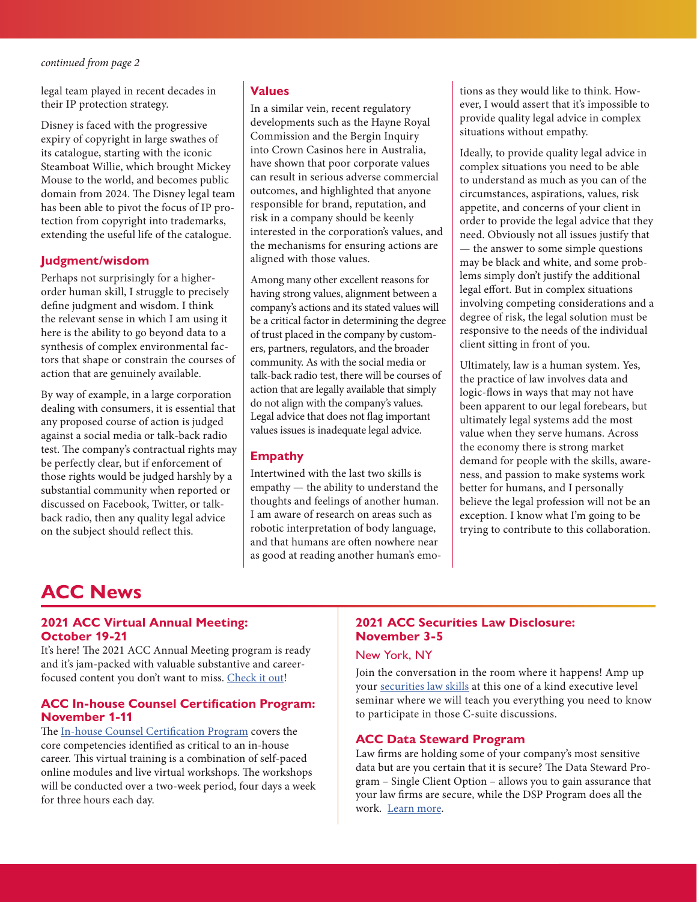legal team played in recent decades in their IP protection strategy.

Disney is faced with the progressive expiry of copyright in large swathes of its catalogue, starting with the iconic Steamboat Willie, which brought Mickey Mouse to the world, and becomes public domain from 2024. The Disney legal team has been able to pivot the focus of IP protection from copyright into trademarks, extending the useful life of the catalogue.

## **Judgment/wisdom**

Perhaps not surprisingly for a higherorder human skill, I struggle to precisely define judgment and wisdom. I think the relevant sense in which I am using it here is the ability to go beyond data to a synthesis of complex environmental factors that shape or constrain the courses of action that are genuinely available.

By way of example, in a large corporation dealing with consumers, it is essential that any proposed course of action is judged against a social media or talk-back radio test. The company's contractual rights may be perfectly clear, but if enforcement of those rights would be judged harshly by a substantial community when reported or discussed on Facebook, Twitter, or talkback radio, then any quality legal advice on the subject should reflect this.

### **Values**

In a similar vein, recent regulatory developments such as the Hayne Royal Commission and the Bergin Inquiry into Crown Casinos here in Australia, have shown that poor corporate values can result in serious adverse commercial outcomes, and highlighted that anyone responsible for brand, reputation, and risk in a company should be keenly interested in the corporation's values, and the mechanisms for ensuring actions are aligned with those values.

Among many other excellent reasons for having strong values, alignment between a company's actions and its stated values will be a critical factor in determining the degree of trust placed in the company by customers, partners, regulators, and the broader community. As with the social media or talk-back radio test, there will be courses of action that are legally available that simply do not align with the company's values. Legal advice that does not flag important values issues is inadequate legal advice.

### **Empathy**

Intertwined with the last two skills is empathy — the ability to understand the thoughts and feelings of another human. I am aware of research on areas such as robotic interpretation of body language, and that humans are often nowhere near as good at reading another human's emotions as they would like to think. However, I would assert that it's impossible to provide quality legal advice in complex situations without empathy.

Ideally, to provide quality legal advice in complex situations you need to be able to understand as much as you can of the circumstances, aspirations, values, risk appetite, and concerns of your client in order to provide the legal advice that they need. Obviously not all issues justify that — the answer to some simple questions may be black and white, and some problems simply don't justify the additional legal effort. But in complex situations involving competing considerations and a degree of risk, the legal solution must be responsive to the needs of the individual client sitting in front of you.

Ultimately, law is a human system. Yes, the practice of law involves data and logic-flows in ways that may not have been apparent to our legal forebears, but ultimately legal systems add the most value when they serve humans. Across the economy there is strong market demand for people with the skills, awareness, and passion to make systems work better for humans, and I personally believe the legal profession will not be an exception. I know what I'm going to be trying to contribute to this collaboration.

## **ACC News**

### **2021 ACC Virtual Annual Meeting: October 19-21**

It's here! The 2021 ACC Annual Meeting program is ready and it's jam-packed with valuable substantive and careerfocused content you don't want to miss. Check it out!

#### **ACC In-house Counsel Certi!cation Program: November 1-11**

The In-house Counsel Certification Program covers the core competencies identified as critical to an in-house career. This virtual training is a combination of self-paced online modules and live virtual workshops. The workshops will be conducted over a two-week period, four days a week for three hours each day.

## **2021 ACC Securities Law Disclosure: November 3-5**

#### New York, NY

Join the conversation in the room where it happens! Amp up your securities law skills at this one of a kind executive level seminar where we will teach you everything you need to know to participate in those C-suite discussions.

#### **ACC Data Steward Program**

Law firms are holding some of your company's most sensitive data but are you certain that it is secure? The Data Steward Program – Single Client Option – allows you to gain assurance that your law firms are secure, while the DSP Program does all the work. Learn more.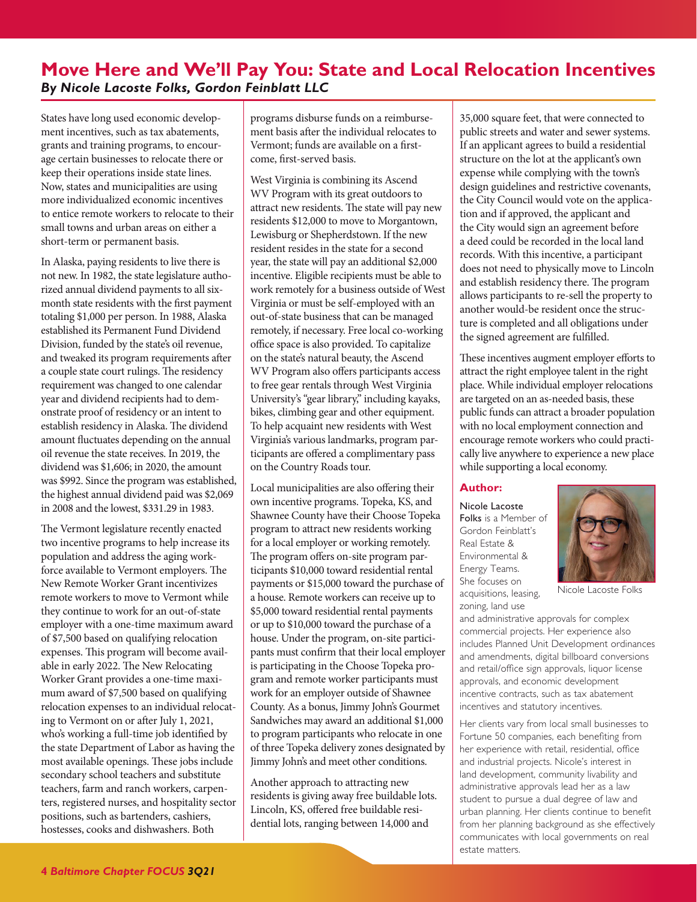## **Move Here and We'll Pay You: State and Local Relocation Incentives** *By Nicole Lacoste Folks, Gordon Feinblatt LLC*

States have long used economic development incentives, such as tax abatements, grants and training programs, to encourage certain businesses to relocate there or keep their operations inside state lines. Now, states and municipalities are using more individualized economic incentives to entice remote workers to relocate to their small towns and urban areas on either a short-term or permanent basis.

In Alaska, paying residents to live there is not new. In 1982, the state legislature authorized annual dividend payments to all sixmonth state residents with the first payment totaling \$1,000 per person. In 1988, Alaska established its Permanent Fund Dividend Division, funded by the state's oil revenue, and tweaked its program requirements after a couple state court rulings. The residency requirement was changed to one calendar year and dividend recipients had to demonstrate proof of residency or an intent to establish residency in Alaska. The dividend amount fluctuates depending on the annual oil revenue the state receives. In 2019, the dividend was \$1,606; in 2020, the amount was \$992. Since the program was established, the highest annual dividend paid was \$2,069 in 2008 and the lowest, \$331.29 in 1983.

The Vermont legislature recently enacted two incentive programs to help increase its population and address the aging workforce available to Vermont employers. The New Remote Worker Grant incentivizes remote workers to move to Vermont while they continue to work for an out-of-state employer with a one-time maximum award of \$7,500 based on qualifying relocation expenses. This program will become available in early 2022. The New Relocating Worker Grant provides a one-time maximum award of \$7,500 based on qualifying relocation expenses to an individual relocating to Vermont on or after July 1, 2021, who's working a full-time job identified by the state Department of Labor as having the most available openings. These jobs include secondary school teachers and substitute teachers, farm and ranch workers, carpenters, registered nurses, and hospitality sector positions, such as bartenders, cashiers, hostesses, cooks and dishwashers. Both

programs disburse funds on a reimbursement basis after the individual relocates to Vermont; funds are available on a firstcome, first-served basis.

West Virginia is combining its Ascend WV Program with its great outdoors to attract new residents. The state will pay new residents \$12,000 to move to Morgantown, Lewisburg or Shepherdstown. If the new resident resides in the state for a second year, the state will pay an additional \$2,000 incentive. Eligible recipients must be able to work remotely for a business outside of West Virginia or must be self-employed with an out-of-state business that can be managed remotely, if necessary. Free local co-working office space is also provided. To capitalize on the state's natural beauty, the Ascend WV Program also offers participants access to free gear rentals through West Virginia University's "gear library," including kayaks, bikes, climbing gear and other equipment. To help acquaint new residents with West Virginia's various landmarks, program participants are offered a complimentary pass on the Country Roads tour.

Local municipalities are also offering their own incentive programs. Topeka, KS, and Shawnee County have their Choose Topeka program to attract new residents working for a local employer or working remotely. The program offers on-site program participants \$10,000 toward residential rental payments or \$15,000 toward the purchase of a house. Remote workers can receive up to \$5,000 toward residential rental payments or up to \$10,000 toward the purchase of a house. Under the program, on-site participants must confirm that their local employer is participating in the Choose Topeka program and remote worker participants must work for an employer outside of Shawnee County. As a bonus, Jimmy John's Gourmet Sandwiches may award an additional \$1,000 to program participants who relocate in one of three Topeka delivery zones designated by Jimmy John's and meet other conditions.

Another approach to attracting new residents is giving away free buildable lots. Lincoln, KS, offered free buildable residential lots, ranging between 14,000 and

35,000 square feet, that were connected to public streets and water and sewer systems. If an applicant agrees to build a residential structure on the lot at the applicant's own expense while complying with the town's design guidelines and restrictive covenants, the City Council would vote on the application and if approved, the applicant and the City would sign an agreement before a deed could be recorded in the local land records. With this incentive, a participant does not need to physically move to Lincoln and establish residency there. The program allows participants to re-sell the property to another would-be resident once the structure is completed and all obligations under the signed agreement are fulfilled.

These incentives augment employer efforts to attract the right employee talent in the right place. While individual employer relocations are targeted on an as-needed basis, these public funds can attract a broader population with no local employment connection and encourage remote workers who could practically live anywhere to experience a new place while supporting a local economy.

## **Author:**

Nicole Lacoste Folks is a Member of Gordon Feinblatt's Real Estate & Environmental & Energy Teams. She focuses on acquisitions, leasing, zoning, land use



Nicole Lacoste Folks

and administrative approvals for complex commercial projects. Her experience also includes Planned Unit Development ordinances and amendments, digital billboard conversions and retail/office sign approvals, liquor license approvals, and economic development incentive contracts, such as tax abatement incentives and statutory incentives.

Her clients vary from local small businesses to Fortune 50 companies, each benefiting from her experience with retail, residential, office and industrial projects. Nicole's interest in land development, community livability and administrative approvals lead her as a law student to pursue a dual degree of law and urban planning. Her clients continue to benefit from her planning background as she effectively communicates with local governments on real estate matters.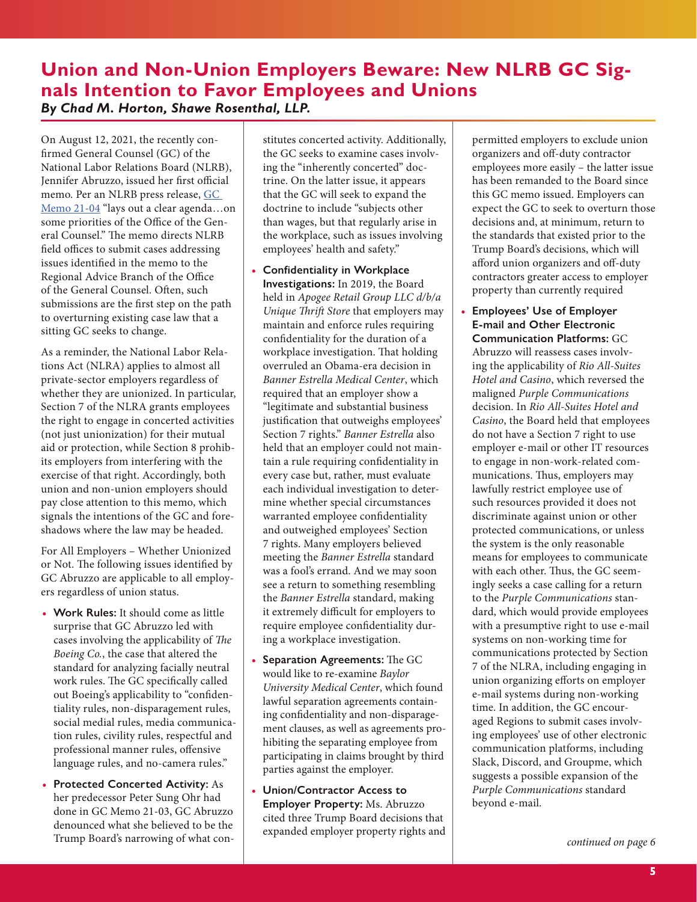## **Union and Non-Union Employers Beware: New NLRB GC Signals Intention to Favor Employees and Unions**  *By Chad M. Horton, Shawe Rosenthal, LLP.*

On August 12, 2021, the recently con firmed General Counsel (GC) of the National Labor Relations Board (NLRB), Jennifer Abruzzo, issued her first official memo. Per an NLRB press release, GC Memo 21-04 "lays out a clear agenda…on some priorities of the Office of the General Counsel." The memo directs NLRB field offices to submit cases addressing issues identified in the memo to the Regional Advice Branch of the Office of the General Counsel. Often, such submissions are the first step on the path to overturning existing case law that a sitting GC seeks to change.

As a reminder, the National Labor Relations Act (NLRA) applies to almost all private-sector employers regardless of whether they are unionized. In particular, Section 7 of the NLRA grants employees the right to engage in concerted activities (not just unionization) for their mutual aid or protection, while Section 8 prohibits employers from interfering with the exercise of that right. Accordingly, both union and non-union employers should pay close attention to this memo, which signals the intentions of the GC and foreshadows where the law may be headed.

For All Employers – Whether Unionized or Not. The following issues identified by GC Abruzzo are applicable to all employers regardless of union status.

- **• Work Rules:** It should come as little surprise that GC Abruzzo led with cases involving the applicability of *The Boeing Co.*, the case that altered the standard for analyzing facially neutral work rules. The GC specifically called out Boeing's applicability to "confidentiality rules, non-disparagement rules, social medial rules, media communication rules, civility rules, respectful and professional manner rules, offensive language rules, and no-camera rules."
- **• Protected Concerted Activity:** As her predecessor Peter Sung Ohr had done in GC Memo 21-03, GC Abruzzo denounced what she believed to be the Trump Board's narrowing of what con-

stitutes concerted activity. Additionally, the GC seeks to examine cases involving the "inherently concerted" doctrine. On the latter issue, it appears that the GC will seek to expand the doctrine to include "subjects other than wages, but that regularly arise in the workplace, such as issues involving employees' health and safety."

- **• Con!dentiality in Workplace Investigations:** In 2019, the Board held in *Apogee Retail Group LLC d/b/a Unique Thrift Store* that employers may maintain and enforce rules requiring confidentiality for the duration of a workplace investigation. That holding overruled an Obama-era decision in *Banner Estrella Medical Center*, which required that an employer show a "legitimate and substantial business justification that outweighs employees' Section 7 rights." *Banner Estrella* also held that an employer could not maintain a rule requiring confidentiality in every case but, rather, must evaluate each individual investigation to determine whether special circumstances warranted employee confidentiality and outweighed employees' Section 7 rights. Many employers believed meeting the *Banner Estrella* standard was a fool's errand. And we may soon see a return to something resembling the *Banner Estrella* standard, making it extremely difficult for employers to require employee confidentiality during a workplace investigation.
- Separation Agreements: The GC would like to re-examine *Baylor University Medical Center*, which found lawful separation agreements containing confidentiality and non-disparagement clauses, as well as agreements prohibiting the separating employee from participating in claims brought by third parties against the employer.
- **• Union/Contractor Access to Employer Property:** Ms. Abruzzo cited three Trump Board decisions that expanded employer property rights and

permitted employers to exclude union organizers and off-duty contractor employees more easily – the latter issue has been remanded to the Board since this GC memo issued. Employers can expect the GC to seek to overturn those decisions and, at minimum, return to the standards that existed prior to the Trump Board's decisions, which will afford union organizers and off-duty contractors greater access to employer property than currently required

**• Employees' Use of Employer E-mail and Other Electronic Communication Platforms:** GC Abruzzo will reassess cases involving the applicability of *Rio All-Suites Hotel and Casino*, which reversed the maligned *Purple Communications* decision. In *Rio All-Suites Hotel and Casino*, the Board held that employees do not have a Section 7 right to use employer e-mail or other IT resources to engage in non-work-related communications. Thus, employers may lawfully restrict employee use of such resources provided it does not discriminate against union or other protected communications, or unless the system is the only reasonable means for employees to communicate with each other. Thus, the GC seemingly seeks a case calling for a return to the *Purple Communications* standard, which would provide employees with a presumptive right to use e-mail systems on non-working time for communications protected by Section 7 of the NLRA, including engaging in union organizing efforts on employer e-mail systems during non-working time. In addition, the GC encouraged Regions to submit cases involving employees' use of other electronic communication platforms, including Slack, Discord, and Groupme, which suggests a possible expansion of the *Purple Communications* standard beyond e-mail.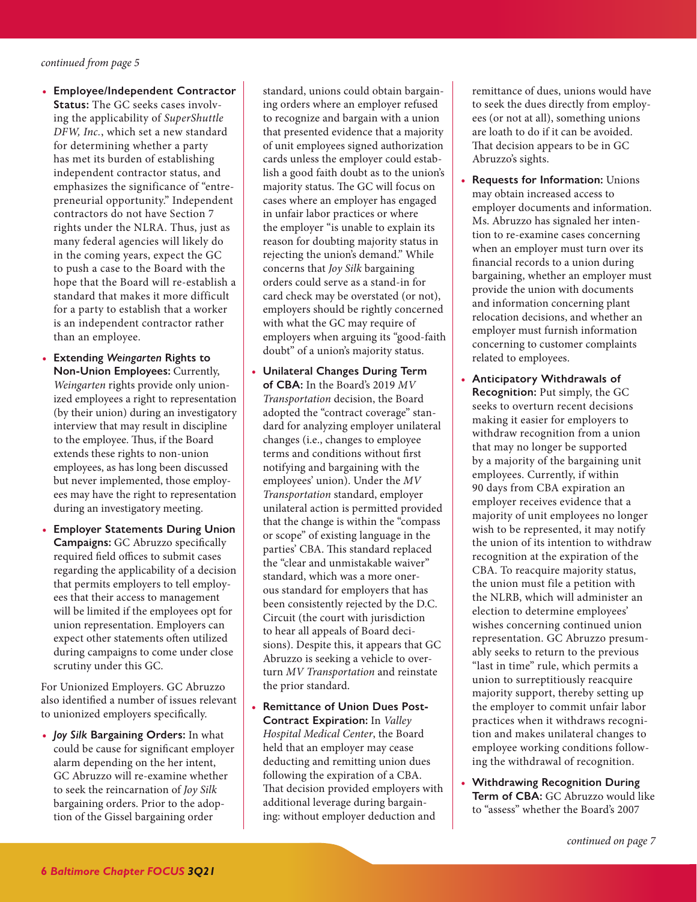- **• Employee/Independent Contractor Status:** The GC seeks cases involving the applicability of *SuperShuttle DFW, Inc.*, which set a new standard for determining whether a party has met its burden of establishing independent contractor status, and emphasizes the significance of "entrepreneurial opportunity." Independent contractors do not have Section 7 rights under the NLRA. Thus, just as many federal agencies will likely do in the coming years, expect the GC to push a case to the Board with the hope that the Board will re-establish a standard that makes it more difficult for a party to establish that a worker is an independent contractor rather than an employee.
- **• Extending** *Weingarten* **Rights to Non-Union Employees:** Currently, *Weingarten* rights provide only unionized employees a right to representation (by their union) during an investigatory interview that may result in discipline to the employee. Thus, if the Board extends these rights to non-union employees, as has long been discussed but never implemented, those employees may have the right to representation during an investigatory meeting.
- **• Employer Statements During Union Campaigns:** GC Abruzzo specifically required field offices to submit cases regarding the applicability of a decision that permits employers to tell employees that their access to management will be limited if the employees opt for union representation. Employers can expect other statements often utilized during campaigns to come under close scrutiny under this GC.

For Unionized Employers. GC Abruzzo also identified a number of issues relevant to unionized employers specifically.

**•** *Joy Silk* **Bargaining Orders:** In what could be cause for significant employer alarm depending on the her intent, GC Abruzzo will re-examine whether to seek the reincarnation of *Joy Silk* bargaining orders. Prior to the adoption of the Gissel bargaining order

standard, unions could obtain bargaining orders where an employer refused to recognize and bargain with a union that presented evidence that a majority of unit employees signed authorization cards unless the employer could establish a good faith doubt as to the union's majority status. The GC will focus on cases where an employer has engaged in unfair labor practices or where the employer "is unable to explain its reason for doubting majority status in rejecting the union's demand." While concerns that *Joy Silk* bargaining orders could serve as a stand-in for card check may be overstated (or not), employers should be rightly concerned with what the GC may require of employers when arguing its "good-faith doubt" of a union's majority status.

- **• Unilateral Changes During Term of CBA:** In the Board's 2019 *MV Transportation* decision, the Board adopted the "contract coverage" standard for analyzing employer unilateral changes (i.e., changes to employee terms and conditions without first notifying and bargaining with the employees' union). Under the *MV Transportation* standard, employer unilateral action is permitted provided that the change is within the "compass or scope" of existing language in the parties' CBA. This standard replaced the "clear and unmistakable waiver" standard, which was a more onerous standard for employers that has been consistently rejected by the D.C. Circuit (the court with jurisdiction to hear all appeals of Board decisions). Despite this, it appears that GC Abruzzo is seeking a vehicle to overturn *MV Transportation* and reinstate the prior standard.
- **• Remittance of Union Dues Post-Contract Expiration:** In *Valley Hospital Medical Center*, the Board held that an employer may cease deducting and remitting union dues following the expiration of a CBA. That decision provided employers with additional leverage during bargaining: without employer deduction and

remittance of dues, unions would have to seek the dues directly from employees (or not at all), something unions are loath to do if it can be avoided. That decision appears to be in GC Abruzzo's sights.

- **• Requests for Information:** Unions may obtain increased access to employer documents and information. Ms. Abruzzo has signaled her intention to re-examine cases concerning when an employer must turn over its financial records to a union during bargaining, whether an employer must provide the union with documents and information concerning plant relocation decisions, and whether an employer must furnish information concerning to customer complaints related to employees.
- **• Anticipatory Withdrawals of Recognition:** Put simply, the GC seeks to overturn recent decisions making it easier for employers to withdraw recognition from a union that may no longer be supported by a majority of the bargaining unit employees. Currently, if within 90 days from CBA expiration an employer receives evidence that a majority of unit employees no longer wish to be represented, it may notify the union of its intention to withdraw recognition at the expiration of the CBA. To reacquire majority status, the union must file a petition with the NLRB, which will administer an election to determine employees' wishes concerning continued union representation. GC Abruzzo presumably seeks to return to the previous "last in time" rule, which permits a union to surreptitiously reacquire majority support, thereby setting up the employer to commit unfair labor practices when it withdraws recognition and makes unilateral changes to employee working conditions following the withdrawal of recognition.
- **• Withdrawing Recognition During Term of CBA:** GC Abruzzo would like to "assess" whether the Board's 2007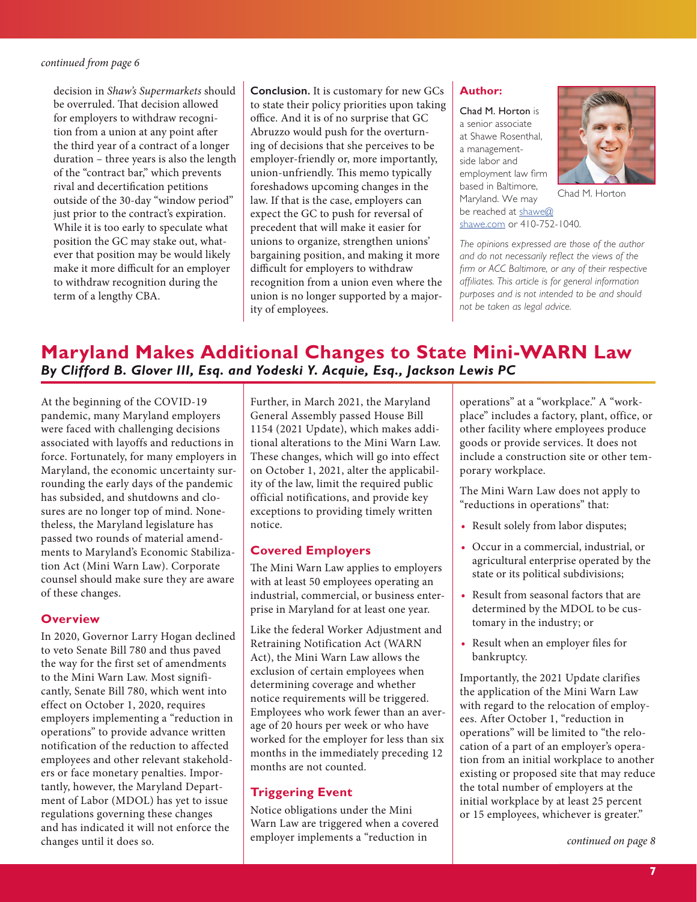decision in *Shaw's Supermarkets* should be overruled. That decision allowed for employers to withdraw recognition from a union at any point after the third year of a contract of a longer duration – three years is also the length of the "contract bar," which prevents rival and decertification petitions outside of the 30-day "window period" just prior to the contract's expiration. While it is too early to speculate what position the GC may stake out, whatever that position may be would likely make it more difficult for an employer to withdraw recognition during the term of a lengthy CBA.

**Conclusion.** It is customary for new GCs to state their policy priorities upon taking office. And it is of no surprise that GC Abruzzo would push for the overturning of decisions that she perceives to be employer-friendly or, more importantly, union-unfriendly. This memo typically foreshadows upcoming changes in the law. If that is the case, employers can expect the GC to push for reversal of precedent that will make it easier for unions to organize, strengthen unions' bargaining position, and making it more difficult for employers to withdraw recognition from a union even where the union is no longer supported by a majority of employees.

### **Author:**

Chad M. Horton is a senior associate at Shawe Rosenthal, a managementside labor and employment law firm based in Baltimore, Maryland. We may be reached at shawe@ shawe.com or 410-752-1040.



Chad M. Horton

*The opinions expressed are those of the author and do not necessarily reflect the views of the firm or ACC Baltimore, or any of their respective affiliates. This article is for general information purposes and is not intended to be and should not be taken as legal advice.*

## **Maryland Makes Additional Changes to State Mini-WARN Law**  *By Clifford B. Glover III, Esq. and Yodeski Y. Acquie, Esq., Jackson Lewis PC*

At the beginning of the COVID-19 pandemic, many Maryland employers were faced with challenging decisions associated with layoffs and reductions in force. Fortunately, for many employers in Maryland, the economic uncertainty surrounding the early days of the pandemic has subsided, and shutdowns and closures are no longer top of mind. Nonetheless, the Maryland legislature has passed two rounds of material amendments to Maryland's Economic Stabilization Act (Mini Warn Law). Corporate counsel should make sure they are aware of these changes.

#### **Overview**

In 2020, Governor Larry Hogan declined to veto Senate Bill 780 and thus paved the way for the first set of amendments to the Mini Warn Law. Most significantly, Senate Bill 780, which went into effect on October 1, 2020, requires employers implementing a "reduction in operations" to provide advance written notification of the reduction to affected employees and other relevant stakeholders or face monetary penalties. Importantly, however, the Maryland Department of Labor (MDOL) has yet to issue regulations governing these changes and has indicated it will not enforce the changes until it does so.

Further, in March 2021, the Maryland General Assembly passed House Bill 1154 (2021 Update), which makes additional alterations to the Mini Warn Law. These changes, which will go into effect on October 1, 2021, alter the applicability of the law, limit the required public official notifications, and provide key exceptions to providing timely written notice.

## **Covered Employers**

The Mini Warn Law applies to employers with at least 50 employees operating an industrial, commercial, or business enterprise in Maryland for at least one year.

Like the federal Worker Adjustment and Retraining Notification Act (WARN Act), the Mini Warn Law allows the exclusion of certain employees when determining coverage and whether notice requirements will be triggered. Employees who work fewer than an average of 20 hours per week or who have worked for the employer for less than six months in the immediately preceding 12 months are not counted.

## **Triggering Event**

Notice obligations under the Mini Warn Law are triggered when a covered employer implements a "reduction in

operations" at a "workplace." A "workplace" includes a factory, plant, office, or other facility where employees produce goods or provide services. It does not include a construction site or other temporary workplace.

The Mini Warn Law does not apply to "reductions in operations" that:

- **•** Result solely from labor disputes;
- **•** Occur in a commercial, industrial, or agricultural enterprise operated by the state or its political subdivisions;
- **•** Result from seasonal factors that are determined by the MDOL to be customary in the industry; or
- Result when an employer files for bankruptcy.

Importantly, the 2021 Update clarifies the application of the Mini Warn Law with regard to the relocation of employees. After October 1, "reduction in operations" will be limited to "the relocation of a part of an employer's operation from an initial workplace to another existing or proposed site that may reduce the total number of employers at the initial workplace by at least 25 percent or 15 employees, whichever is greater."

*continued on page 8*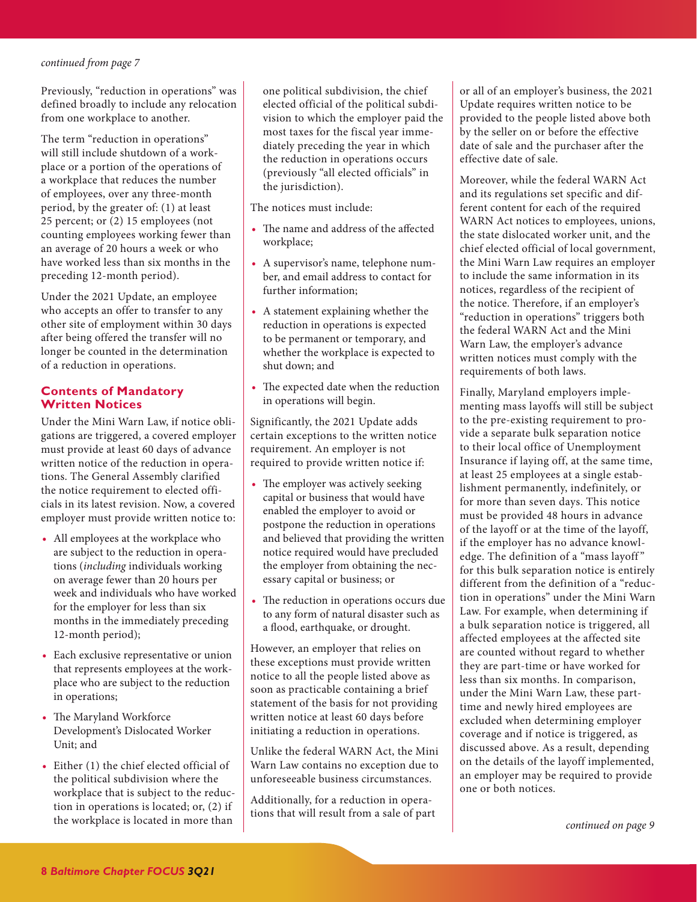Previously, "reduction in operations" was defined broadly to include any relocation from one workplace to another.

The term "reduction in operations" will still include shutdown of a workplace or a portion of the operations of a workplace that reduces the number of employees, over any three-month period, by the greater of: (1) at least 25 percent; or (2) 15 employees (not counting employees working fewer than an average of 20 hours a week or who have worked less than six months in the preceding 12-month period).

Under the 2021 Update, an employee who accepts an offer to transfer to any other site of employment within 30 days after being offered the transfer will no longer be counted in the determination of a reduction in operations.

### **Contents of Mandatory Written Notices**

Under the Mini Warn Law, if notice obligations are triggered, a covered employer must provide at least 60 days of advance written notice of the reduction in operations. The General Assembly clarified the notice requirement to elected officials in its latest revision. Now, a covered employer must provide written notice to:

- **•** All employees at the workplace who are subject to the reduction in operations (*including* individuals working on average fewer than 20 hours per week and individuals who have worked for the employer for less than six months in the immediately preceding 12-month period);
- **•** Each exclusive representative or union that represents employees at the workplace who are subject to the reduction in operations;
- The Maryland Workforce Development's Dislocated Worker Unit; and
- **•** Either (1) the chief elected official of the political subdivision where the workplace that is subject to the reduction in operations is located; or, (2) if the workplace is located in more than

one political subdivision, the chief elected official of the political subdivision to which the employer paid the most taxes for the fiscal year immediately preceding the year in which the reduction in operations occurs (previously "all elected officials" in the jurisdiction).

The notices must include:

- The name and address of the affected workplace;
- **•** A supervisor's name, telephone number, and email address to contact for further information;
- **•** A statement explaining whether the reduction in operations is expected to be permanent or temporary, and whether the workplace is expected to shut down; and
- The expected date when the reduction in operations will begin.

Significantly, the 2021 Update adds certain exceptions to the written notice requirement. An employer is not required to provide written notice if:

- The employer was actively seeking capital or business that would have enabled the employer to avoid or postpone the reduction in operations and believed that providing the written notice required would have precluded the employer from obtaining the necessary capital or business; or
- The reduction in operations occurs due to any form of natural disaster such as a flood, earthquake, or drought.

However, an employer that relies on these exceptions must provide written notice to all the people listed above as soon as practicable containing a brief statement of the basis for not providing written notice at least 60 days before initiating a reduction in operations.

Unlike the federal WARN Act, the Mini Warn Law contains no exception due to unforeseeable business circumstances.

Additionally, for a reduction in operations that will result from a sale of part or all of an employer's business, the 2021 Update requires written notice to be provided to the people listed above both by the seller on or before the effective date of sale and the purchaser after the effective date of sale.

Moreover, while the federal WARN Act and its regulations set specific and different content for each of the required WARN Act notices to employees, unions, the state dislocated worker unit, and the chief elected official of local government, the Mini Warn Law requires an employer to include the same information in its notices, regardless of the recipient of the notice. Therefore, if an employer's "reduction in operations" triggers both the federal WARN Act and the Mini Warn Law, the employer's advance written notices must comply with the requirements of both laws.

Finally, Maryland employers implementing mass layoffs will still be subject to the pre-existing requirement to provide a separate bulk separation notice to their local office of Unemployment Insurance if laying off, at the same time, at least 25 employees at a single establishment permanently, indefinitely, or for more than seven days. This notice must be provided 48 hours in advance of the layoff or at the time of the layoff, if the employer has no advance knowledge. The definition of a "mass layoff " for this bulk separation notice is entirely different from the definition of a "reduction in operations" under the Mini Warn Law. For example, when determining if a bulk separation notice is triggered, all affected employees at the affected site are counted without regard to whether they are part-time or have worked for less than six months. In comparison, under the Mini Warn Law, these parttime and newly hired employees are excluded when determining employer coverage and if notice is triggered, as discussed above. As a result, depending on the details of the layoff implemented, an employer may be required to provide one or both notices.

*continued on page 9*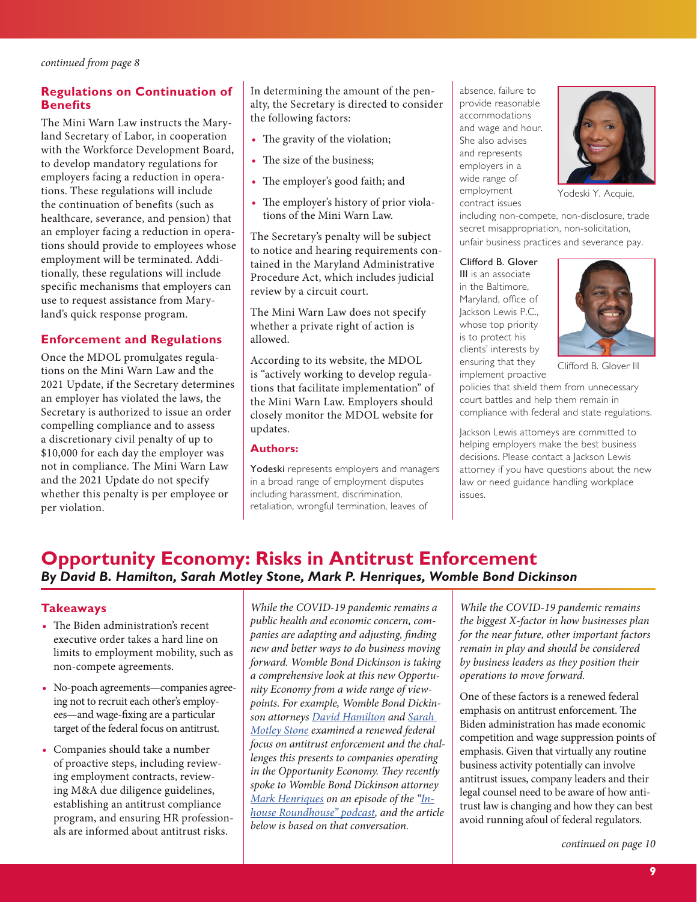## **Regulations on Continuation of Benefits**

The Mini Warn Law instructs the Maryland Secretary of Labor, in cooperation with the Workforce Development Board, to develop mandatory regulations for employers facing a reduction in operations. These regulations will include the continuation of benefits (such as healthcare, severance, and pension) that an employer facing a reduction in operations should provide to employees whose employment will be terminated. Additionally, these regulations will include specific mechanisms that employers can use to request assistance from Maryland's quick response program.

### **Enforcement and Regulations**

Once the MDOL promulgates regulations on the Mini Warn Law and the 2021 Update, if the Secretary determines an employer has violated the laws, the Secretary is authorized to issue an order compelling compliance and to assess a discretionary civil penalty of up to \$10,000 for each day the employer was not in compliance. The Mini Warn Law and the 2021 Update do not specify whether this penalty is per employee or per violation.

In determining the amount of the penalty, the Secretary is directed to consider the following factors:

- The gravity of the violation;
- The size of the business;
- The employer's good faith; and
- The employer's history of prior violations of the Mini Warn Law.

The Secretary's penalty will be subject to notice and hearing requirements contained in the Maryland Administrative Procedure Act, which includes judicial review by a circuit court.

The Mini Warn Law does not specify whether a private right of action is allowed.

According to its website, the MDOL is "actively working to develop regulations that facilitate implementation" of the Mini Warn Law. Employers should closely monitor the MDOL website for updates.

#### **Authors:**

Yodeski represents employers and managers in a broad range of employment disputes including harassment, discrimination, retaliation, wrongful termination, leaves of

absence, failure to provide reasonable accommodations and wage and hour. She also advises and represents employers in a wide range of employment contract issues



Yodeski Y. Acquie,

including non-compete, non-disclosure, trade secret misappropriation, non-solicitation, unfair business practices and severance pay.

Clifford B. Glover

III is an associate in the Baltimore, Maryland, office of Jackson Lewis P.C., whose top priority is to protect his clients' interests by ensuring that they implement proactive



Clifford B. Glover III

policies that shield them from unnecessary court battles and help them remain in compliance with federal and state regulations.

Jackson Lewis attorneys are committed to helping employers make the best business decisions. Please contact a Jackson Lewis attorney if you have questions about the new law or need guidance handling workplace issues.

## **Opportunity Economy: Risks in Antitrust Enforcement**  *By David B. Hamilton, Sarah Motley Stone, Mark P. Henriques, Womble Bond Dickinson*

#### **Takeaways**

- The Biden administration's recent executive order takes a hard line on limits to employment mobility, such as non-compete agreements.
- **•** No-poach agreements—companies agreeing not to recruit each other's employees—and wage-fixing are a particular target of the federal focus on antitrust.
- **•** Companies should take a number of proactive steps, including reviewing employment contracts, reviewing M&A due diligence guidelines, establishing an antitrust compliance program, and ensuring HR professionals are informed about antitrust risks.

*While the COVID-19 pandemic remains a public health and economic concern, companies are adapting and adjusting, finding new and better ways to do business moving forward. Womble Bond Dickinson is taking a comprehensive look at this new Opportunity Economy from a wide range of viewpoints. For example, Womble Bond Dickinson attorneys David Hamilton and Sarah Motley Stone examined a renewed federal focus on antitrust enforcement and the challenges this presents to companies operating in the Opportunity Economy. They recently spoke to Womble Bond Dickinson attorney Mark Henriques on an episode of the "Inhouse Roundhouse" podcast, and the article below is based on that conversation.*

*While the COVID-19 pandemic remains the biggest X-factor in how businesses plan for the near future, other important factors remain in play and should be considered by business leaders as they position their operations to move forward.* 

One of these factors is a renewed federal emphasis on antitrust enforcement. The Biden administration has made economic competition and wage suppression points of emphasis. Given that virtually any routine business activity potentially can involve antitrust issues, company leaders and their legal counsel need to be aware of how antitrust law is changing and how they can best avoid running afoul of federal regulators.

*continued on page 10*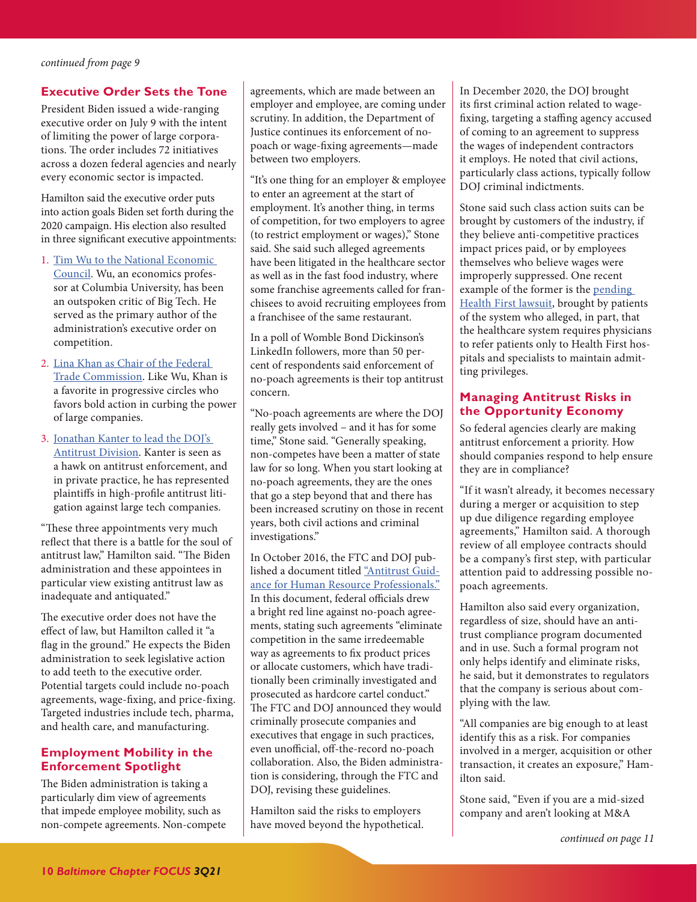## **Executive Order Sets the Tone**

President Biden issued a wide-ranging executive order on July 9 with the intent of limiting the power of large corporations. The order includes 72 initiatives across a dozen federal agencies and nearly every economic sector is impacted.

Hamilton said the executive order puts into action goals Biden set forth during the 2020 campaign. His election also resulted in three significant executive appointments:

- 1. Tim Wu to the National Economic Council. Wu, an economics professor at Columbia University, has been an outspoken critic of Big Tech. He served as the primary author of the administration's executive order on competition.
- 2. Lina Khan as Chair of the Federal Trade Commission. Like Wu, Khan is a favorite in progressive circles who favors bold action in curbing the power of large companies.
- 3. Jonathan Kanter to lead the DOJ's Antitrust Division. Kanter is seen as a hawk on antitrust enforcement, and in private practice, he has represented plaintiffs in high-profile antitrust litigation against large tech companies.

"These three appointments very much reflect that there is a battle for the soul of antitrust law," Hamilton said. "The Biden administration and these appointees in particular view existing antitrust law as inadequate and antiquated."

The executive order does not have the effect of law, but Hamilton called it "a flag in the ground." He expects the Biden administration to seek legislative action to add teeth to the executive order. Potential targets could include no-poach agreements, wage-fixing, and price-fixing. Targeted industries include tech, pharma, and health care, and manufacturing.

## **Employment Mobility in the Enforcement Spotlight**

The Biden administration is taking a particularly dim view of agreements that impede employee mobility, such as non-compete agreements. Non-compete agreements, which are made between an employer and employee, are coming under scrutiny. In addition, the Department of Justice continues its enforcement of nopoach or wage-fixing agreements—made between two employers.

"It's one thing for an employer & employee to enter an agreement at the start of employment. It's another thing, in terms of competition, for two employers to agree (to restrict employment or wages)," Stone said. She said such alleged agreements have been litigated in the healthcare sector as well as in the fast food industry, where some franchise agreements called for franchisees to avoid recruiting employees from a franchisee of the same restaurant.

In a poll of Womble Bond Dickinson's LinkedIn followers, more than 50 percent of respondents said enforcement of no-poach agreements is their top antitrust concern.

"No-poach agreements are where the DOJ really gets involved – and it has for some time," Stone said. "Generally speaking, non-competes have been a matter of state law for so long. When you start looking at no-poach agreements, they are the ones that go a step beyond that and there has been increased scrutiny on those in recent years, both civil actions and criminal investigations."

In October 2016, the FTC and DOJ published a document titled "Antitrust Guidance for Human Resource Professionals." In this document, federal officials drew a bright red line against no-poach agreements, stating such agreements "eliminate competition in the same irredeemable way as agreements to fix product prices or allocate customers, which have traditionally been criminally investigated and prosecuted as hardcore cartel conduct." The FTC and DOJ announced they would criminally prosecute companies and executives that engage in such practices, even unofficial, off-the-record no-poach collaboration. Also, the Biden administration is considering, through the FTC and DOJ, revising these guidelines.

Hamilton said the risks to employers have moved beyond the hypothetical. In December 2020, the DOJ brought its first criminal action related to wagefixing, targeting a staffing agency accused of coming to an agreement to suppress the wages of independent contractors it employs. He noted that civil actions, particularly class actions, typically follow DOJ criminal indictments.

Stone said such class action suits can be brought by customers of the industry, if they believe anti-competitive practices impact prices paid, or by employees themselves who believe wages were improperly suppressed. One recent example of the former is the pending Health First lawsuit, brought by patients of the system who alleged, in part, that the healthcare system requires physicians to refer patients only to Health First hospitals and specialists to maintain admitting privileges.

## **Managing Antitrust Risks in the Opportunity Economy**

So federal agencies clearly are making antitrust enforcement a priority. How should companies respond to help ensure they are in compliance?

"If it wasn't already, it becomes necessary during a merger or acquisition to step up due diligence regarding employee agreements," Hamilton said. A thorough review of all employee contracts should be a company's first step, with particular attention paid to addressing possible nopoach agreements.

Hamilton also said every organization, regardless of size, should have an antitrust compliance program documented and in use. Such a formal program not only helps identify and eliminate risks, he said, but it demonstrates to regulators that the company is serious about complying with the law.

"All companies are big enough to at least identify this as a risk. For companies involved in a merger, acquisition or other transaction, it creates an exposure," Hamilton said.

Stone said, "Even if you are a mid-sized company and aren't looking at M&A